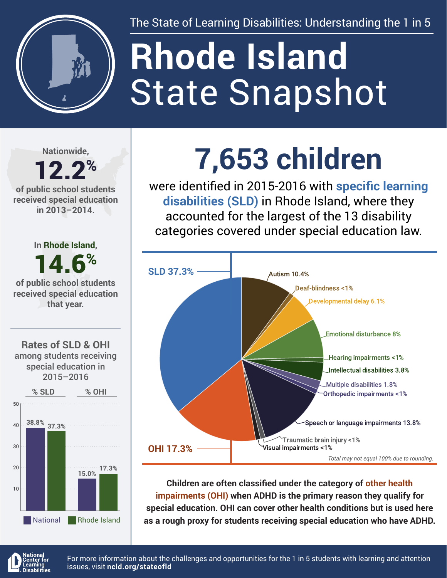

The State of Learning Disabilities: Understanding the 1 in 5

# State Snapshot **Rhode Island**

**Nationwide,**

#### 12.2% **of public school students received special education in 2013–2014.**



National Rhode Island

## **7,653 children**

were identified in 2015-2016 with **specific learning disabilities (SLD)** in Rhode Island, where they accounted for the largest of the 13 disability categories covered under special education law.



**Children are often classified under the category of other health impairments (OHI) when ADHD is the primary reason they qualify for special education. OHI can cover other health conditions but is used here as a rough proxy for students receiving special education who have ADHD.**



For more information about the challenges and opportunities for the 1 in 5 students with learning and attention issues, visit **[ncld.org/stateofld](http://ncld.org/stateofld)**